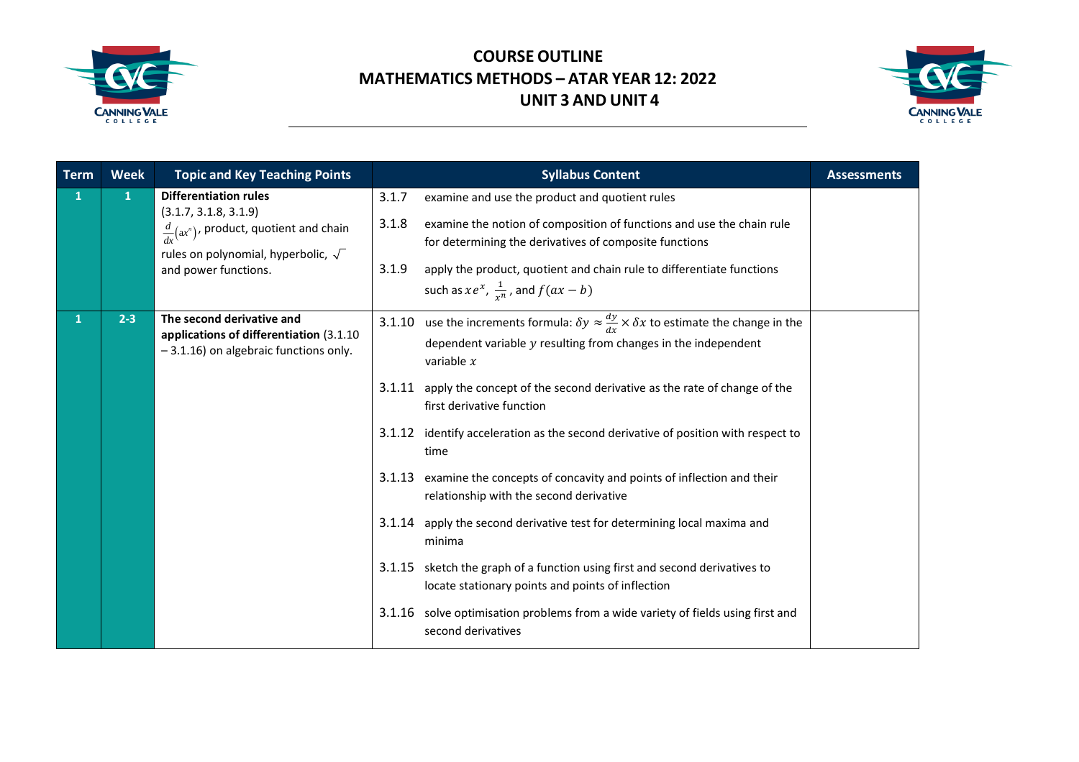



| <b>Term</b> | <b>Week</b>  | <b>Topic and Key Teaching Points</b>                                                                                                                                                            | <b>Syllabus Content</b>                                                                                                                                                                                                                                                                                                                         | <b>Assessments</b> |
|-------------|--------------|-------------------------------------------------------------------------------------------------------------------------------------------------------------------------------------------------|-------------------------------------------------------------------------------------------------------------------------------------------------------------------------------------------------------------------------------------------------------------------------------------------------------------------------------------------------|--------------------|
| 1           | $\mathbf{1}$ | <b>Differentiation rules</b><br>(3.1.7, 3.1.8, 3.1.9)<br>$\frac{d}{dx}$ (ax <sup>n</sup> ), product, quotient and chain<br>rules on polynomial, hyperbolic, $\sqrt{\ }$<br>and power functions. | 3.1.7<br>examine and use the product and quotient rules<br>3.1.8<br>examine the notion of composition of functions and use the chain rule<br>for determining the derivatives of composite functions<br>3.1.9<br>apply the product, quotient and chain rule to differentiate functions<br>such as $xe^{x}$ , $\frac{1}{x^{n}}$ , and $f(ax - b)$ |                    |
| 1           | $2 - 3$      | The second derivative and<br>applications of differentiation (3.1.10)<br>-3.1.16) on algebraic functions only.                                                                                  | use the increments formula: $\delta y \approx \frac{dy}{dx} \times \delta x$ to estimate the change in the<br>3.1.10<br>dependent variable $y$ resulting from changes in the independent<br>variable $x$                                                                                                                                        |                    |
|             |              |                                                                                                                                                                                                 | apply the concept of the second derivative as the rate of change of the<br>3.1.11<br>first derivative function                                                                                                                                                                                                                                  |                    |
|             |              |                                                                                                                                                                                                 | identify acceleration as the second derivative of position with respect to<br>3.1.12<br>time                                                                                                                                                                                                                                                    |                    |
|             |              |                                                                                                                                                                                                 | examine the concepts of concavity and points of inflection and their<br>3.1.13<br>relationship with the second derivative                                                                                                                                                                                                                       |                    |
|             |              |                                                                                                                                                                                                 | apply the second derivative test for determining local maxima and<br>3.1.14<br>minima                                                                                                                                                                                                                                                           |                    |
|             |              |                                                                                                                                                                                                 | sketch the graph of a function using first and second derivatives to<br>3.1.15<br>locate stationary points and points of inflection                                                                                                                                                                                                             |                    |
|             |              |                                                                                                                                                                                                 | solve optimisation problems from a wide variety of fields using first and<br>3.1.16<br>second derivatives                                                                                                                                                                                                                                       |                    |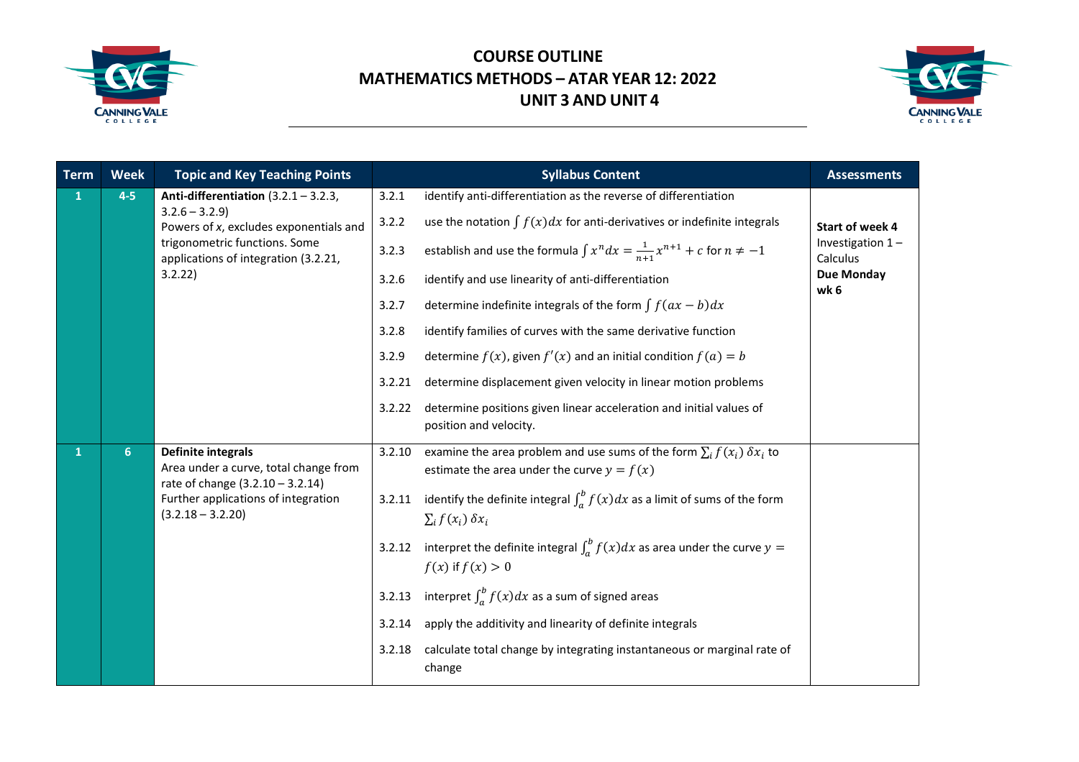



| <b>Term</b>  | <b>Week</b>    | <b>Topic and Key Teaching Points</b>                                                                   |        | <b>Syllabus Content</b>                                                                                                            | <b>Assessments</b>             |
|--------------|----------------|--------------------------------------------------------------------------------------------------------|--------|------------------------------------------------------------------------------------------------------------------------------------|--------------------------------|
| $\mathbf{1}$ | $4-5$          | Anti-differentiation $(3.2.1 - 3.2.3,$                                                                 | 3.2.1  | identify anti-differentiation as the reverse of differentiation                                                                    |                                |
|              |                | $3.2.6 - 3.2.9$<br>Powers of x, excludes exponentials and                                              | 3.2.2  | use the notation $\int f(x)dx$ for anti-derivatives or indefinite integrals                                                        | Start of week 4                |
|              |                | trigonometric functions. Some<br>applications of integration (3.2.21,                                  | 3.2.3  | establish and use the formula $\int x^n dx = \frac{1}{n+1}x^{n+1} + c$ for $n \neq -1$                                             | Investigation $1-$<br>Calculus |
|              |                | 3.2.22                                                                                                 | 3.2.6  | identify and use linearity of anti-differentiation                                                                                 | <b>Due Monday</b><br>wk 6      |
|              |                |                                                                                                        | 3.2.7  | determine indefinite integrals of the form $\int f(ax - b)dx$                                                                      |                                |
|              |                |                                                                                                        | 3.2.8  | identify families of curves with the same derivative function                                                                      |                                |
|              |                |                                                                                                        | 3.2.9  | determine $f(x)$ , given $f'(x)$ and an initial condition $f(a) = b$                                                               |                                |
|              |                |                                                                                                        | 3.2.21 | determine displacement given velocity in linear motion problems                                                                    |                                |
|              |                |                                                                                                        | 3.2.22 | determine positions given linear acceleration and initial values of<br>position and velocity.                                      |                                |
| 1            | 6 <sup>1</sup> | <b>Definite integrals</b><br>Area under a curve, total change from<br>rate of change (3.2.10 - 3.2.14) | 3.2.10 | examine the area problem and use sums of the form $\sum_i f(x_i) \, \delta x_i$ to<br>estimate the area under the curve $y = f(x)$ |                                |
|              |                | Further applications of integration<br>$(3.2.18 - 3.2.20)$                                             | 3.2.11 | identify the definite integral $\int_a^b f(x)dx$ as a limit of sums of the form<br>$\sum_i f(x_i) \, \delta x_i$                   |                                |
|              |                |                                                                                                        | 3.2.12 | interpret the definite integral $\int_a^b f(x)dx$ as area under the curve $y =$<br>$f(x)$ if $f(x) > 0$                            |                                |
|              |                |                                                                                                        | 3.2.13 | interpret $\int_a^b f(x)dx$ as a sum of signed areas                                                                               |                                |
|              |                |                                                                                                        | 3.2.14 | apply the additivity and linearity of definite integrals                                                                           |                                |
|              |                |                                                                                                        | 3.2.18 | calculate total change by integrating instantaneous or marginal rate of<br>change                                                  |                                |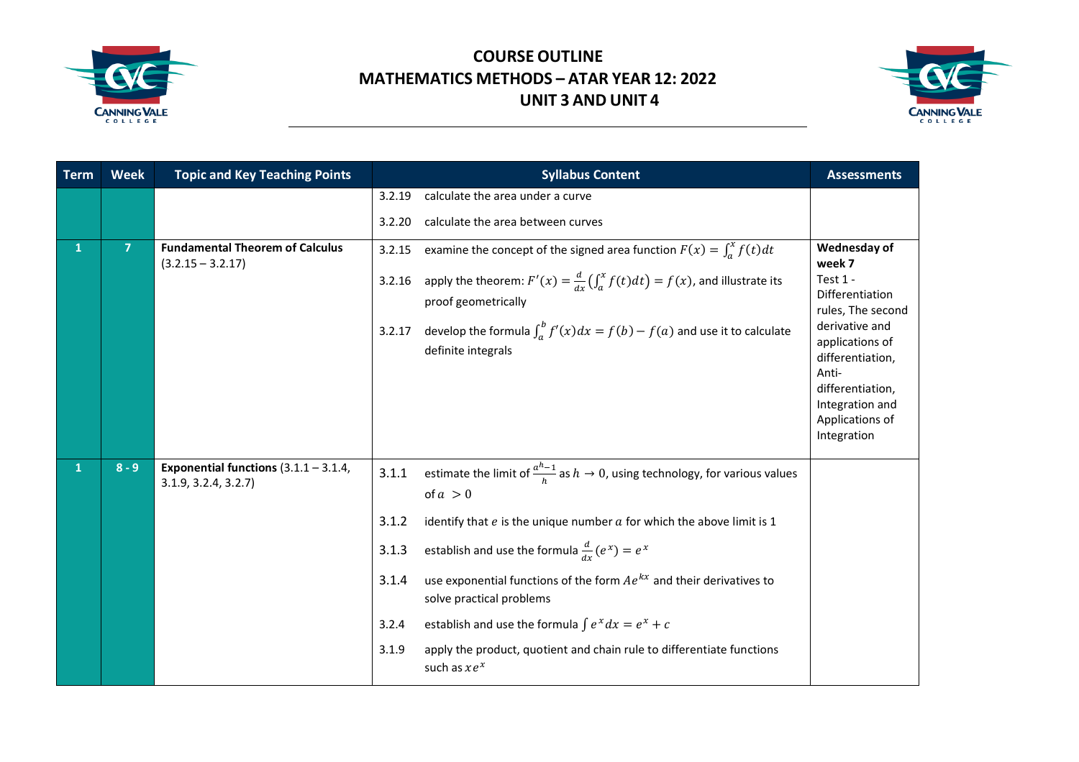



| Term         | <b>Week</b>    | <b>Topic and Key Teaching Points</b>                           | <b>Syllabus Content</b>                                                                                                                                                                                                                                                                                                                                                                                                                                                                                                                                                 | <b>Assessments</b>                                                                                                                                                                                                    |
|--------------|----------------|----------------------------------------------------------------|-------------------------------------------------------------------------------------------------------------------------------------------------------------------------------------------------------------------------------------------------------------------------------------------------------------------------------------------------------------------------------------------------------------------------------------------------------------------------------------------------------------------------------------------------------------------------|-----------------------------------------------------------------------------------------------------------------------------------------------------------------------------------------------------------------------|
|              |                |                                                                | 3.2.19<br>calculate the area under a curve                                                                                                                                                                                                                                                                                                                                                                                                                                                                                                                              |                                                                                                                                                                                                                       |
|              |                |                                                                | calculate the area between curves<br>3.2.20                                                                                                                                                                                                                                                                                                                                                                                                                                                                                                                             |                                                                                                                                                                                                                       |
| 1            | $\overline{7}$ | <b>Fundamental Theorem of Calculus</b><br>$(3.2.15 - 3.2.17)$  | examine the concept of the signed area function $F(x) = \int_a^x f(t) dt$<br>3.2.15<br>apply the theorem: $F'(x) = \frac{d}{dx} \left( \int_a^x f(t) dt \right) = f(x)$ , and illustrate its<br>3.2.16<br>proof geometrically<br>develop the formula $\int_a^b f'(x)dx = f(b) - f(a)$ and use it to calculate<br>3.2.17<br>definite integrals                                                                                                                                                                                                                           | Wednesday of<br>week 7<br>Test 1 -<br>Differentiation<br>rules, The second<br>derivative and<br>applications of<br>differentiation,<br>Anti-<br>differentiation,<br>Integration and<br>Applications of<br>Integration |
| $\mathbf{1}$ | $8 - 9$        | Exponential functions $(3.1.1 - 3.1.4,$<br>3.1.9, 3.2.4, 3.2.7 | estimate the limit of $\frac{a^{h}-1}{h}$ as $h \to 0$ , using technology, for various values<br>3.1.1<br>of $a > 0$<br>3.1.2<br>identify that $e$ is the unique number $a$ for which the above limit is 1<br>establish and use the formula $\frac{d}{dx}(e^x) = e^x$<br>3.1.3<br>use exponential functions of the form $Ae^{kx}$ and their derivatives to<br>3.1.4<br>solve practical problems<br>establish and use the formula $\int e^x dx = e^x + c$<br>3.2.4<br>apply the product, quotient and chain rule to differentiate functions<br>3.1.9<br>such as $xe^{x}$ |                                                                                                                                                                                                                       |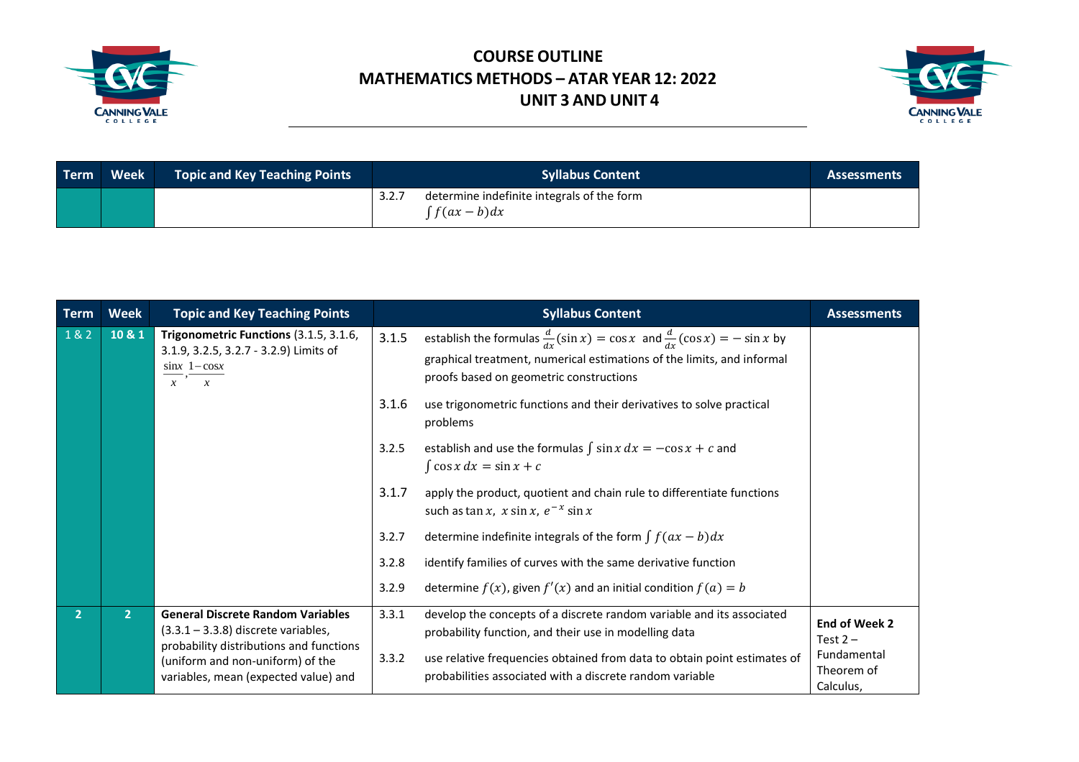



| Term | Week | <b>Topic and Key Teaching Points</b> | <b>Syllabus Content</b>                                                 | <b>Assessments</b> |
|------|------|--------------------------------------|-------------------------------------------------------------------------|--------------------|
|      |      |                                      | determine indefinite integrals of the form<br>3.2.7<br>$\int f(ax-b)dx$ |                    |

| <b>Term</b>    | <b>Week</b>  | <b>Topic and Key Teaching Points</b>                                                                                                  |       | <b>Syllabus Content</b>                                                                                                                                                                                             | <b>Assessments</b>                     |
|----------------|--------------|---------------------------------------------------------------------------------------------------------------------------------------|-------|---------------------------------------------------------------------------------------------------------------------------------------------------------------------------------------------------------------------|----------------------------------------|
| $182$          | 10 & 1       | Trigonometric Functions (3.1.5, 3.1.6,<br>3.1.9, 3.2.5, 3.2.7 - 3.2.9) Limits of<br>$\sin x$ 1 – $\cos x$<br>$x^{-1}$<br>$\mathbf{r}$ | 3.1.5 | establish the formulas $\frac{d}{dx}(\sin x) = \cos x$ and $\frac{d}{dx}(\cos x) = -\sin x$ by<br>graphical treatment, numerical estimations of the limits, and informal<br>proofs based on geometric constructions |                                        |
|                |              |                                                                                                                                       | 3.1.6 | use trigonometric functions and their derivatives to solve practical<br>problems                                                                                                                                    |                                        |
|                |              |                                                                                                                                       | 3.2.5 | establish and use the formulas $\int \sin x \, dx = -\cos x + c$ and<br>$\int \cos x dx = \sin x + c$                                                                                                               |                                        |
|                |              |                                                                                                                                       | 3.1.7 | apply the product, quotient and chain rule to differentiate functions<br>such as tan x, $x \sin x$ , $e^{-x} \sin x$                                                                                                |                                        |
|                |              |                                                                                                                                       | 3.2.7 | determine indefinite integrals of the form $\int f(ax - b)dx$                                                                                                                                                       |                                        |
|                |              |                                                                                                                                       | 3.2.8 | identify families of curves with the same derivative function                                                                                                                                                       |                                        |
|                |              |                                                                                                                                       | 3.2.9 | determine $f(x)$ , given $f'(x)$ and an initial condition $f(a) = b$                                                                                                                                                |                                        |
| $\overline{2}$ | $\mathbf{2}$ | <b>General Discrete Random Variables</b><br>$(3.3.1 - 3.3.8)$ discrete variables,<br>probability distributions and functions          | 3.3.1 | develop the concepts of a discrete random variable and its associated<br>probability function, and their use in modelling data                                                                                      | <b>End of Week 2</b><br>Test $2 -$     |
|                |              | (uniform and non-uniform) of the<br>variables, mean (expected value) and                                                              | 3.3.2 | use relative frequencies obtained from data to obtain point estimates of<br>probabilities associated with a discrete random variable                                                                                | Fundamental<br>Theorem of<br>Calculus, |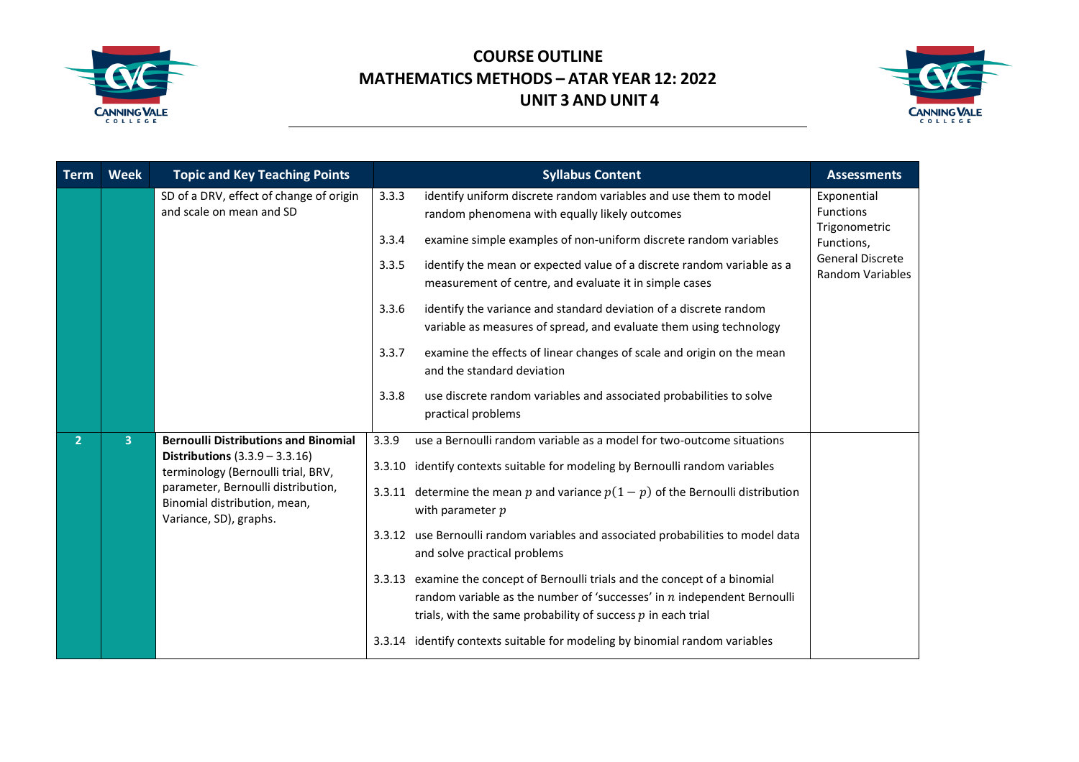



| <b>Term</b>    | <b>Week</b>    | <b>Topic and Key Teaching Points</b>                                                         | <b>Syllabus Content</b>                                                                                                                                                                                                     | <b>Assessments</b>                                 |
|----------------|----------------|----------------------------------------------------------------------------------------------|-----------------------------------------------------------------------------------------------------------------------------------------------------------------------------------------------------------------------------|----------------------------------------------------|
|                |                | SD of a DRV, effect of change of origin<br>and scale on mean and SD                          | identify uniform discrete random variables and use them to model<br>3.3.3<br>random phenomena with equally likely outcomes                                                                                                  | Exponential<br><b>Functions</b><br>Trigonometric   |
|                |                |                                                                                              | examine simple examples of non-uniform discrete random variables<br>3.3.4                                                                                                                                                   | Functions,                                         |
|                |                |                                                                                              | identify the mean or expected value of a discrete random variable as a<br>3.3.5<br>measurement of centre, and evaluate it in simple cases                                                                                   | <b>General Discrete</b><br><b>Random Variables</b> |
|                |                |                                                                                              | identify the variance and standard deviation of a discrete random<br>3.3.6<br>variable as measures of spread, and evaluate them using technology                                                                            |                                                    |
|                |                |                                                                                              | 3.3.7<br>examine the effects of linear changes of scale and origin on the mean<br>and the standard deviation                                                                                                                |                                                    |
|                |                |                                                                                              | use discrete random variables and associated probabilities to solve<br>3.3.8<br>practical problems                                                                                                                          |                                                    |
| 2 <sup>1</sup> | $\overline{3}$ | <b>Bernoulli Distributions and Binomial</b>                                                  | use a Bernoulli random variable as a model for two-outcome situations<br>3.3.9                                                                                                                                              |                                                    |
|                |                | <b>Distributions</b> $(3.3.9 - 3.3.16)$<br>terminology (Bernoulli trial, BRV,                | 3.3.10 identify contexts suitable for modeling by Bernoulli random variables                                                                                                                                                |                                                    |
|                |                | parameter, Bernoulli distribution,<br>Binomial distribution, mean,<br>Variance, SD), graphs. | 3.3.11 determine the mean p and variance $p(1-p)$ of the Bernoulli distribution<br>with parameter $p$                                                                                                                       |                                                    |
|                |                |                                                                                              | 3.3.12 use Bernoulli random variables and associated probabilities to model data<br>and solve practical problems                                                                                                            |                                                    |
|                |                |                                                                                              | 3.3.13 examine the concept of Bernoulli trials and the concept of a binomial<br>random variable as the number of 'successes' in $n$ independent Bernoulli<br>trials, with the same probability of success $p$ in each trial |                                                    |
|                |                |                                                                                              | 3.3.14 identify contexts suitable for modeling by binomial random variables                                                                                                                                                 |                                                    |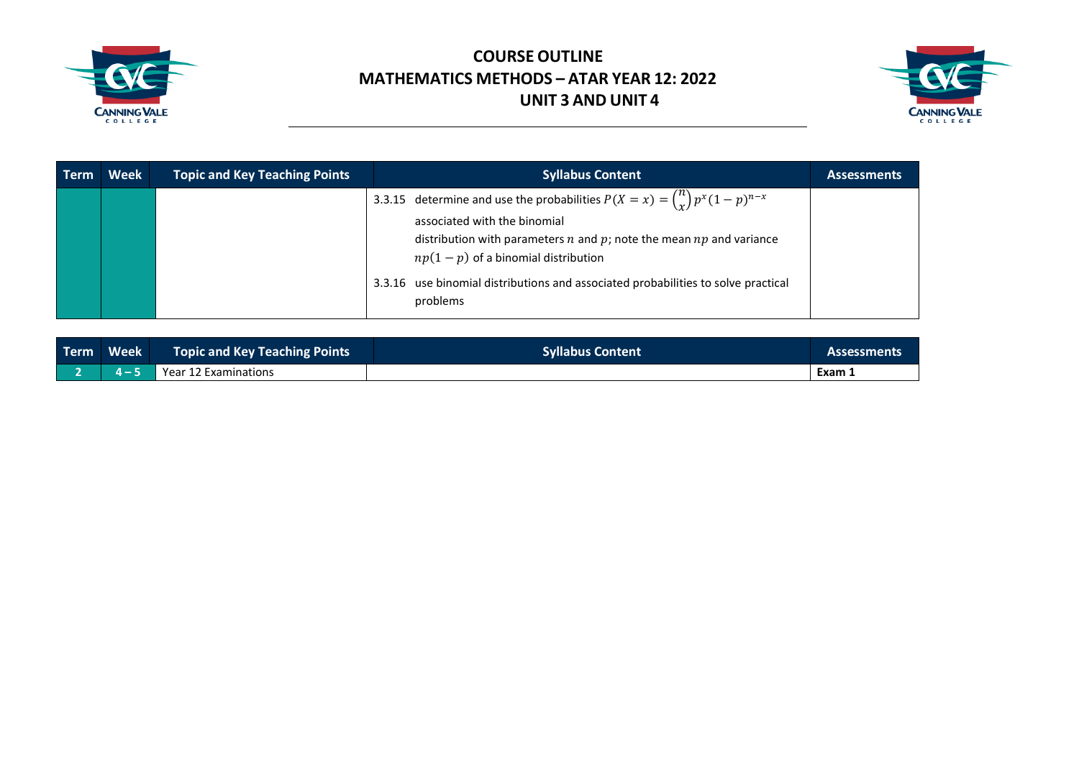



| <b>Term</b> | <b>Week</b> | <b>Topic and Key Teaching Points</b> | <b>Syllabus Content</b>                                                                                                                                                                                                                     | <b>Assessments</b> |
|-------------|-------------|--------------------------------------|---------------------------------------------------------------------------------------------------------------------------------------------------------------------------------------------------------------------------------------------|--------------------|
|             |             |                                      | 3.3.15 determine and use the probabilities $P(X = x) = {n \choose x} p^x (1-p)^{n-x}$<br>associated with the binomial<br>distribution with parameters $n$ and $p$ ; note the mean $np$ and variance<br>$np(1-p)$ of a binomial distribution |                    |
|             |             |                                      | 3.3.16 use binomial distributions and associated probabilities to solve practical<br>problems                                                                                                                                               |                    |

| Term Week |         | Topic and Key Teaching Points | Syllabus Content | Assessments |
|-----------|---------|-------------------------------|------------------|-------------|
|           | $4 - 5$ | Year 12 Examinations          |                  | Exam .      |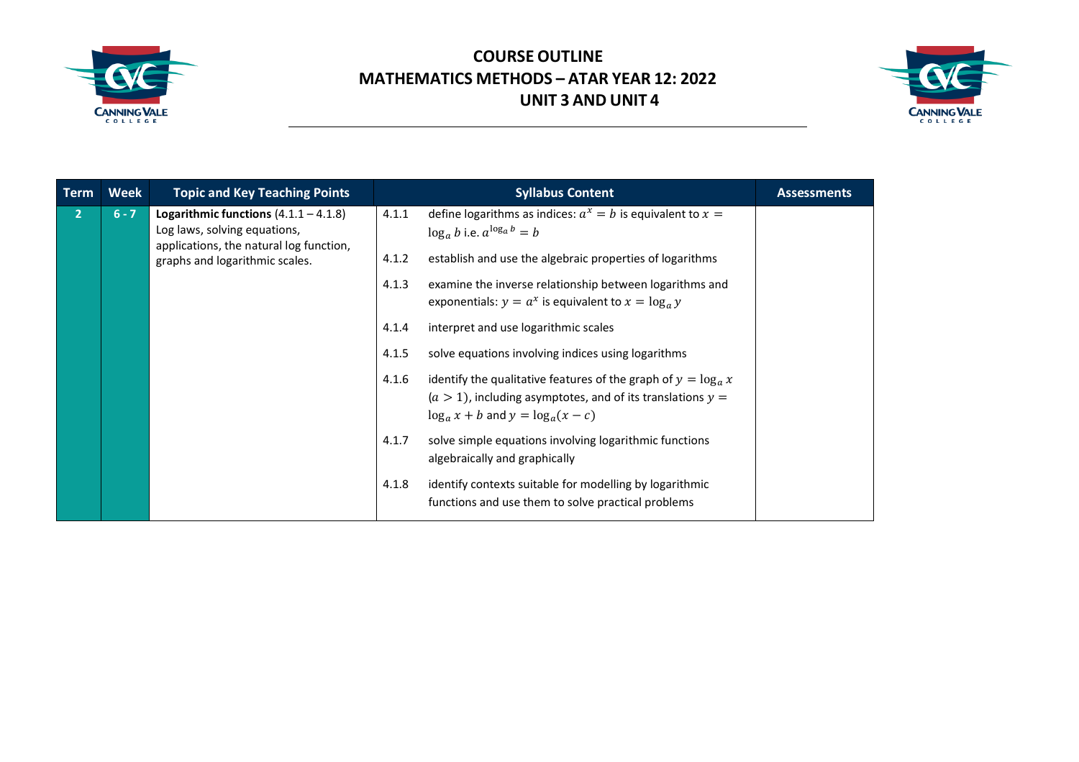



| <b>Term</b>    | Week    | <b>Topic and Key Teaching Points</b>                                                                                                                 |                         | <b>Syllabus Content</b>                                                                                                                                                                                                     | <b>Assessments</b> |
|----------------|---------|------------------------------------------------------------------------------------------------------------------------------------------------------|-------------------------|-----------------------------------------------------------------------------------------------------------------------------------------------------------------------------------------------------------------------------|--------------------|
| $\overline{2}$ | $6 - 7$ | Logarithmic functions $(4.1.1 - 4.1.8)$<br>Log laws, solving equations,<br>applications, the natural log function,<br>graphs and logarithmic scales. | 4.1.1<br>4.1.2<br>4.1.3 | define logarithms as indices: $a^x = b$ is equivalent to $x =$<br>$\log_a b$ i.e. $a^{\log_a b} = b$<br>establish and use the algebraic properties of logarithms<br>examine the inverse relationship between logarithms and |                    |
|                |         |                                                                                                                                                      |                         | exponentials: $y = a^x$ is equivalent to $x = \log_a y$                                                                                                                                                                     |                    |
|                |         |                                                                                                                                                      | 4.1.4                   | interpret and use logarithmic scales                                                                                                                                                                                        |                    |
|                |         |                                                                                                                                                      | 4.1.5                   | solve equations involving indices using logarithms                                                                                                                                                                          |                    |
|                |         |                                                                                                                                                      | 4.1.6                   | identify the qualitative features of the graph of $y = \log_a x$<br>$(a > 1)$ , including asymptotes, and of its translations $y =$<br>$\log_a x + b$ and $y = \log_a (x - c)$                                              |                    |
|                |         |                                                                                                                                                      | 4.1.7                   | solve simple equations involving logarithmic functions<br>algebraically and graphically                                                                                                                                     |                    |
|                |         |                                                                                                                                                      | 4.1.8                   | identify contexts suitable for modelling by logarithmic<br>functions and use them to solve practical problems                                                                                                               |                    |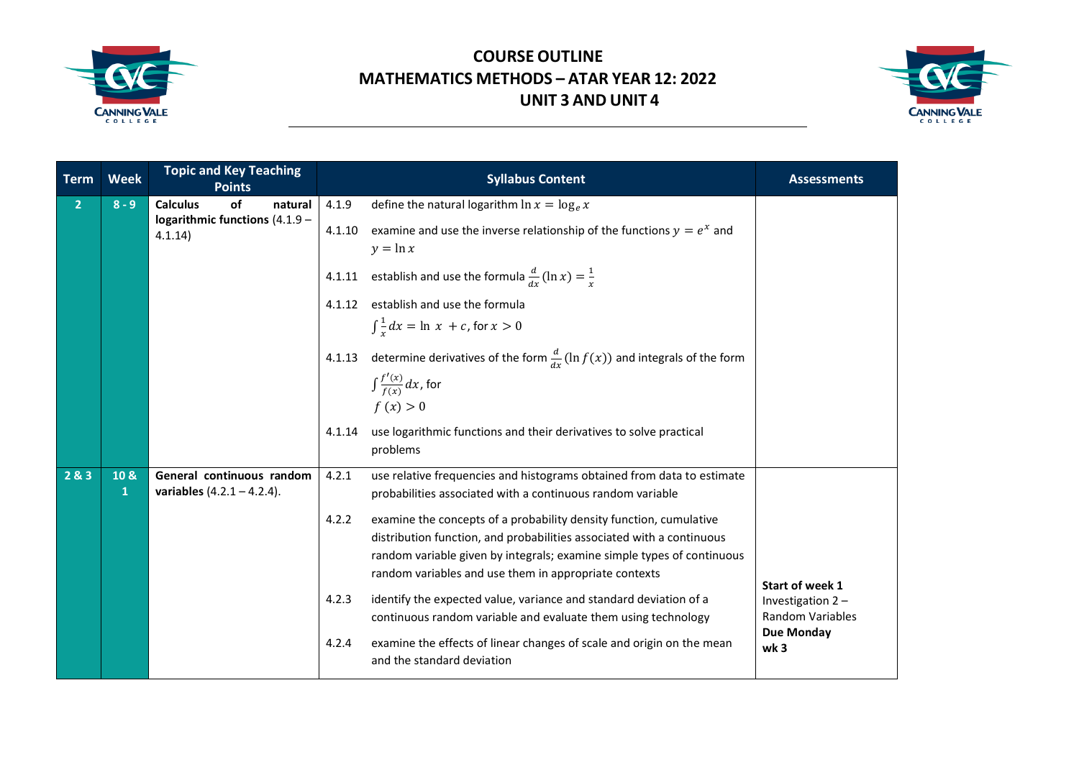



| <b>Term</b>    | <b>Week</b> | <b>Topic and Key Teaching</b><br><b>Points</b>                                | <b>Syllabus Content</b>                                                                                                                                                                                                                                                                                                                                                                                                                                                                                                                                                                                                                                                                                 | <b>Assessments</b>                                                                                     |
|----------------|-------------|-------------------------------------------------------------------------------|---------------------------------------------------------------------------------------------------------------------------------------------------------------------------------------------------------------------------------------------------------------------------------------------------------------------------------------------------------------------------------------------------------------------------------------------------------------------------------------------------------------------------------------------------------------------------------------------------------------------------------------------------------------------------------------------------------|--------------------------------------------------------------------------------------------------------|
| $\overline{2}$ | $8 - 9$     | <b>Calculus</b><br>of<br>natural<br>logarithmic functions (4.1.9 -<br>4.1.14) | define the natural logarithm $\ln x = \log_e x$<br>4.1.9<br>examine and use the inverse relationship of the functions $y = e^x$ and<br>4.1.10<br>$y = \ln x$<br>4.1.11 establish and use the formula $\frac{d}{dx}(\ln x) = \frac{1}{x}$<br>establish and use the formula<br>4.1.12<br>$\int \frac{1}{x} dx = \ln x + c$ , for $x > 0$<br>determine derivatives of the form $\frac{d}{dx}$ (ln $f(x)$ ) and integrals of the form<br>4.1.13<br>$\int \frac{f'(x)}{f(x)} dx$ , for<br>f(x) > 0                                                                                                                                                                                                           |                                                                                                        |
|                |             |                                                                               | use logarithmic functions and their derivatives to solve practical<br>4.1.14<br>problems                                                                                                                                                                                                                                                                                                                                                                                                                                                                                                                                                                                                                |                                                                                                        |
| 283            | 10 &<br>1   | General continuous random<br>variables $(4.2.1 - 4.2.4)$ .                    | use relative frequencies and histograms obtained from data to estimate<br>4.2.1<br>probabilities associated with a continuous random variable<br>examine the concepts of a probability density function, cumulative<br>4.2.2<br>distribution function, and probabilities associated with a continuous<br>random variable given by integrals; examine simple types of continuous<br>random variables and use them in appropriate contexts<br>4.2.3<br>identify the expected value, variance and standard deviation of a<br>continuous random variable and evaluate them using technology<br>examine the effects of linear changes of scale and origin on the mean<br>4.2.4<br>and the standard deviation | Start of week 1<br>Investigation 2-<br><b>Random Variables</b><br><b>Due Monday</b><br>wk <sub>3</sub> |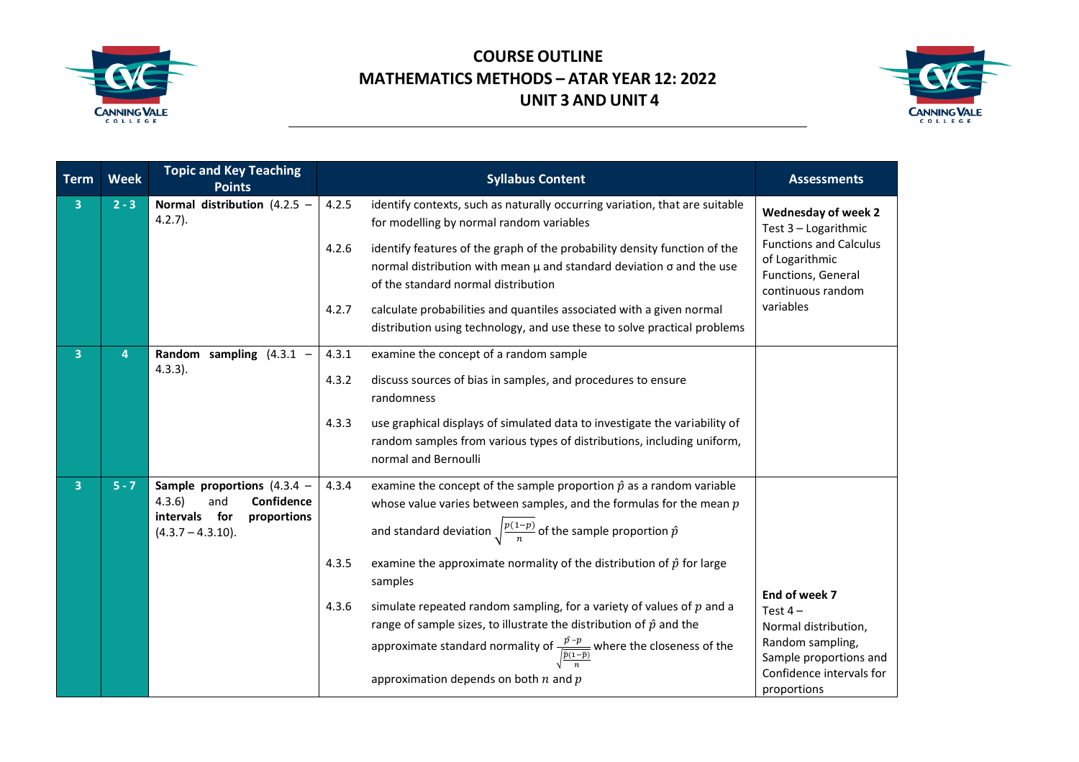



| <b>Term</b>             | <b>Week</b> | <b>Topic and Key Teaching</b><br><b>Points</b>                                                                     | <b>Syllabus Content</b>                                                                                                                                                                                                                                                                                            | <b>Assessments</b>                                                                                                                          |
|-------------------------|-------------|--------------------------------------------------------------------------------------------------------------------|--------------------------------------------------------------------------------------------------------------------------------------------------------------------------------------------------------------------------------------------------------------------------------------------------------------------|---------------------------------------------------------------------------------------------------------------------------------------------|
| $\overline{\mathbf{3}}$ | $2 - 3$     | Normal distribution (4.2.5 $-$<br>$4.2.7$ ).                                                                       | 4.2.5<br>identify contexts, such as naturally occurring variation, that are suitable<br>for modelling by normal random variables                                                                                                                                                                                   | <b>Wednesday of week 2</b><br>Test 3 - Logarithmic                                                                                          |
|                         |             |                                                                                                                    | 4.2.6<br>identify features of the graph of the probability density function of the<br>normal distribution with mean $\mu$ and standard deviation $\sigma$ and the use<br>of the standard normal distribution                                                                                                       | <b>Functions and Calculus</b><br>of Logarithmic<br>Functions, General<br>continuous random                                                  |
|                         |             |                                                                                                                    | calculate probabilities and quantiles associated with a given normal<br>4.2.7<br>distribution using technology, and use these to solve practical problems                                                                                                                                                          | variables                                                                                                                                   |
| 3 <sup>1</sup>          | 4           | Random sampling $(4.3.1 -$<br>$4.3.3$ ).                                                                           | examine the concept of a random sample<br>4.3.1                                                                                                                                                                                                                                                                    |                                                                                                                                             |
|                         |             |                                                                                                                    | 4.3.2<br>discuss sources of bias in samples, and procedures to ensure<br>randomness                                                                                                                                                                                                                                |                                                                                                                                             |
|                         |             |                                                                                                                    | 4.3.3<br>use graphical displays of simulated data to investigate the variability of<br>random samples from various types of distributions, including uniform,<br>normal and Bernoulli                                                                                                                              |                                                                                                                                             |
| $\overline{3}$          | $5 - 7$     | Sample proportions $(4.3.4 -$<br>4.3.6<br>Confidence<br>and<br>intervals for<br>proportions<br>$(4.3.7 - 4.3.10).$ | examine the concept of the sample proportion $\hat{p}$ as a random variable<br>4.3.4<br>whose value varies between samples, and the formulas for the mean $p$<br>and standard deviation $\sqrt{\frac{p(1-p)}{n}}$ of the sample proportion $\hat{p}$                                                               |                                                                                                                                             |
|                         |             |                                                                                                                    | 4.3.5<br>examine the approximate normality of the distribution of $\hat{p}$ for large<br>samples                                                                                                                                                                                                                   |                                                                                                                                             |
|                         |             |                                                                                                                    | simulate repeated random sampling, for a variety of values of $p$ and a<br>4.3.6<br>range of sample sizes, to illustrate the distribution of $\hat{p}$ and the<br>approximate standard normality of $\frac{\hat{p}-p}{\hat{p}(1-\hat{p})}$ where the closeness of the<br>approximation depends on both $n$ and $p$ | End of week 7<br>Test $4-$<br>Normal distribution,<br>Random sampling,<br>Sample proportions and<br>Confidence intervals for<br>proportions |